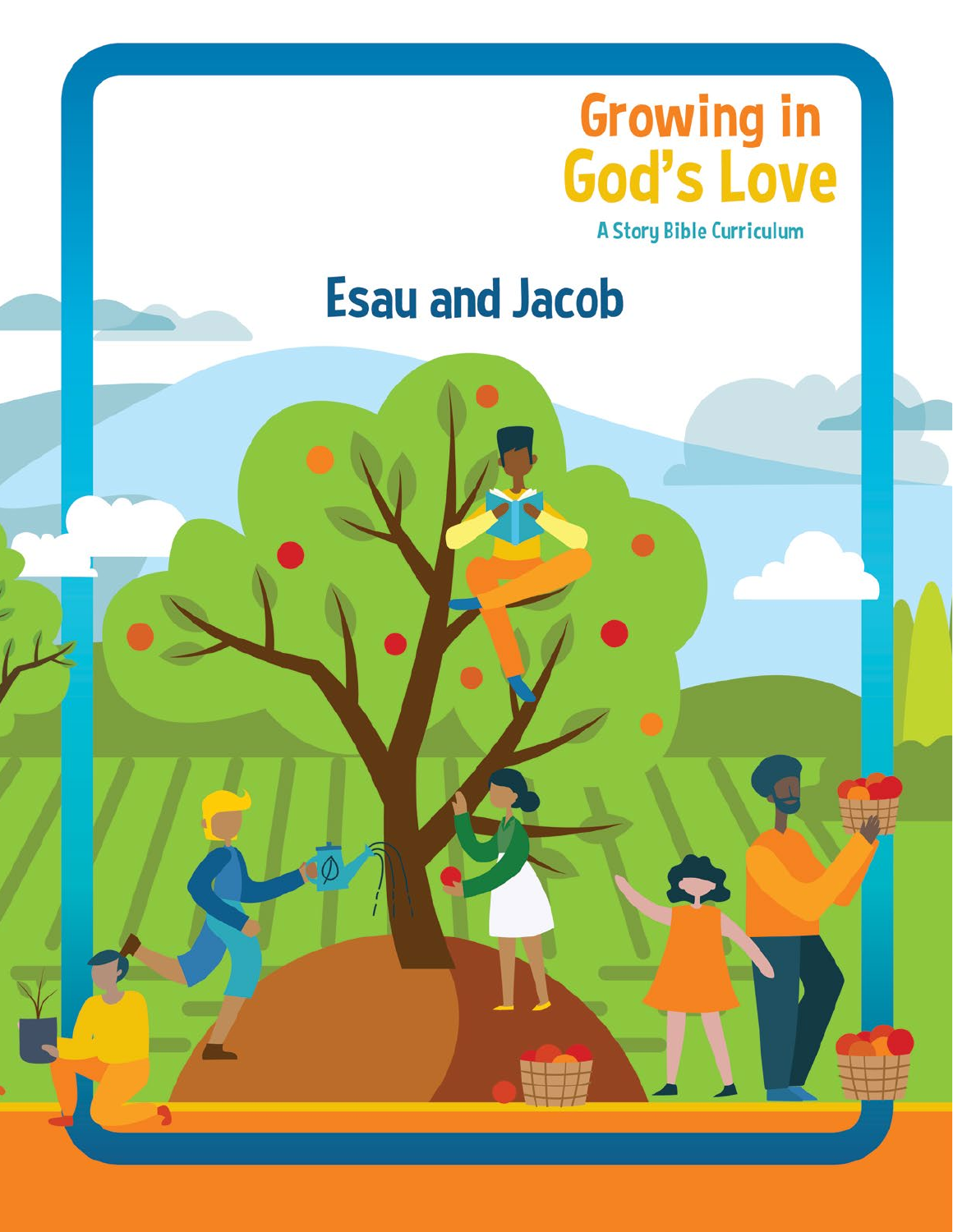

# **Esau and Jacob**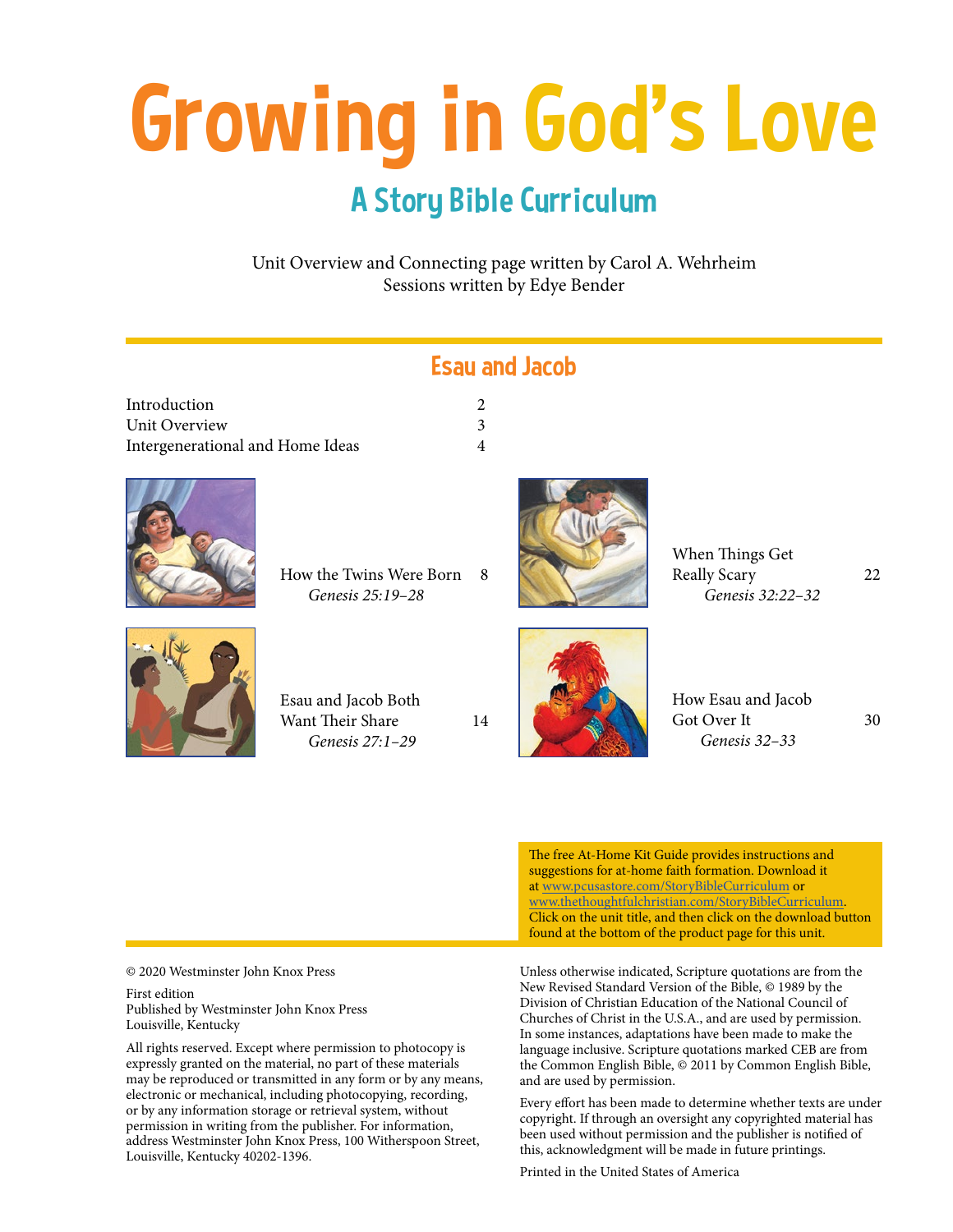# Growing in God's Love

# A Story Bible Curriculum

Unit Overview and Connecting page written by Carol A. Wehrheim Sessions written by Edye Bender

| <b>Esau and Jacob</b>                                      |                |  |                                                     |    |
|------------------------------------------------------------|----------------|--|-----------------------------------------------------|----|
| Introduction                                               | $\overline{2}$ |  |                                                     |    |
| Unit Overview                                              | $\overline{3}$ |  |                                                     |    |
| Intergenerational and Home Ideas                           | $\overline{4}$ |  |                                                     |    |
| How the Twins Were Born 8<br>Genesis 25:19-28              |                |  | When Things Get<br>Really Scary<br>Genesis 32:22-32 | 22 |
| Esau and Jacob Both<br>Want Their Share<br>Genesis 27:1-29 | 14             |  | How Esau and Jacob<br>Got Over It<br>Genesis 32-33  | 30 |

The free At-Home Kit Guide provides instructions and suggestions for at-home faith formation. Download it at www.pcusastore.com/StoryBibleCurriculum or www.thethoughtfulchristian.com/StoryBibleCurriculum. Click on the unit title, and then click on the download button found at the bottom of the product page for this unit.

© 2020 Westminster John Knox Press

First edition Published by Westminster John Knox Press Louisville, Kentucky

All rights reserved. Except where permission to photocopy is expressly granted on the material, no part of these materials may be reproduced or transmitted in any form or by any means, electronic or mechanical, including photocopying, recording, or by any information storage or retrieval system, without permission in writing from the publisher. For information, address Westminster John Knox Press, 100 Witherspoon Street, Louisville, Kentucky 40202-1396.

Unless otherwise indicated, Scripture quotations are from the New Revised Standard Version of the Bible, © 1989 by the Division of Christian Education of the National Council of Churches of Christ in the U.S.A., and are used by permission. In some instances, adaptations have been made to make the language inclusive. Scripture quotations marked CEB are from the Common English Bible, © 2011 by Common English Bible, and are used by permission.

Every effort has been made to determine whether texts are under copyright. If through an oversight any copyrighted material has been used without permission and the publisher is notified of this, acknowledgment will be made in future printings.

Printed in the United States of America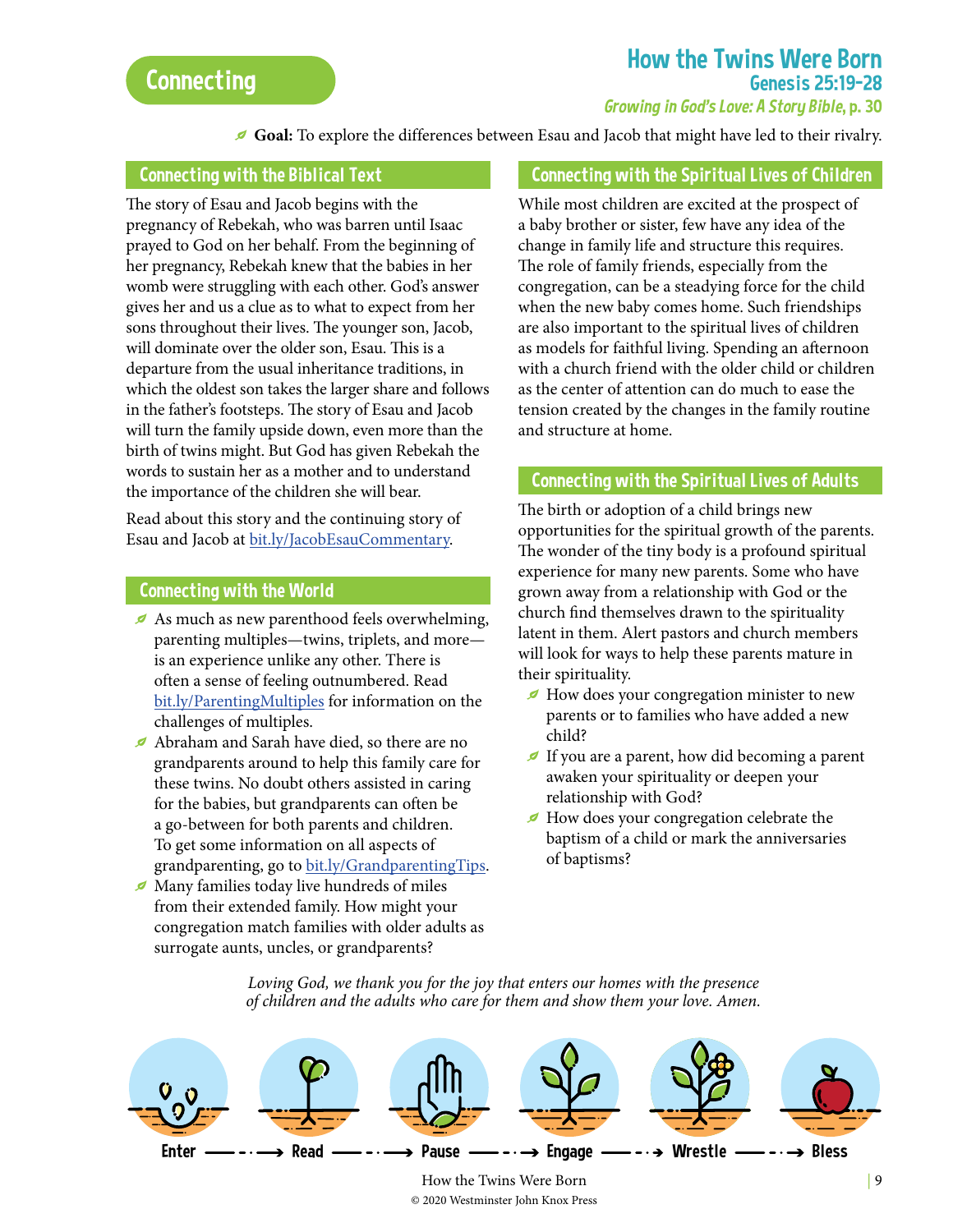# How the Twins Were Born Genesis 25:19–28

#### Growing in God's Love: A Story Bible, p. 30

Goal: To explore the differences between Esau and Jacob that might have led to their rivalry.

#### Connecting with the Biblical Text

The story of Esau and Jacob begins with the pregnancy of Rebekah, who was barren until Isaac prayed to God on her behalf. From the beginning of her pregnancy, Rebekah knew that the babies in her womb were struggling with each other. God's answer gives her and us a clue as to what to expect from her sons throughout their lives. The younger son, Jacob, will dominate over the older son, Esau. This is a departure from the usual inheritance traditions, in which the oldest son takes the larger share and follows in the father's footsteps. The story of Esau and Jacob will turn the family upside down, even more than the birth of twins might. But God has given Rebekah the words to sustain her as a mother and to understand the importance of the children she will bear.

Read about this story and the continuing story of Esau and Jacob at [bit.ly/JacobEsauCommentary.](http://bit.ly/JacobEsauCommentary)

#### Connecting with the World

- As much as new parenthood feels overwhelming, parenting multiples—twins, triplets, and more is an experience unlike any other. There is often a sense of feeling outnumbered. Read [bit.ly/ParentingMultiples](http://bit.ly/ParentingMultiples) for information on the challenges of multiples.
- g Abraham and Sarah have died, so there are no grandparents around to help this family care for these twins. No doubt others assisted in caring for the babies, but grandparents can often be a go-between for both parents and children. To get some information on all aspects of grandparenting, go to [bit.ly/GrandparentingTips](http://bit.ly/GrandparentingTips).
- g Many families today live hundreds of miles from their extended family. How might your congregation match families with older adults as surrogate aunts, uncles, or grandparents?

#### Connecting with the Spiritual Lives of Children

While most children are excited at the prospect of a baby brother or sister, few have any idea of the change in family life and structure this requires. The role of family friends, especially from the congregation, can be a steadying force for the child when the new baby comes home. Such friendships are also important to the spiritual lives of children as models for faithful living. Spending an afternoon with a church friend with the older child or children as the center of attention can do much to ease the tension created by the changes in the family routine and structure at home.

#### Connecting with the Spiritual Lives of Adults

The birth or adoption of a child brings new opportunities for the spiritual growth of the parents. The wonder of the tiny body is a profound spiritual experience for many new parents. Some who have grown away from a relationship with God or the church find themselves drawn to the spirituality latent in them. Alert pastors and church members will look for ways to help these parents mature in their spirituality.

- $\blacktriangleright$  How does your congregation minister to new parents or to families who have added a new child?
- $\blacktriangleright$  If you are a parent, how did becoming a parent awaken your spirituality or deepen your relationship with God?
- How does your congregation celebrate the baptism of a child or mark the anniversaries of baptisms?

*Loving God, we thank you for the joy that enters our homes with the presence of children and the adults who care for them and show them your love. Amen.*

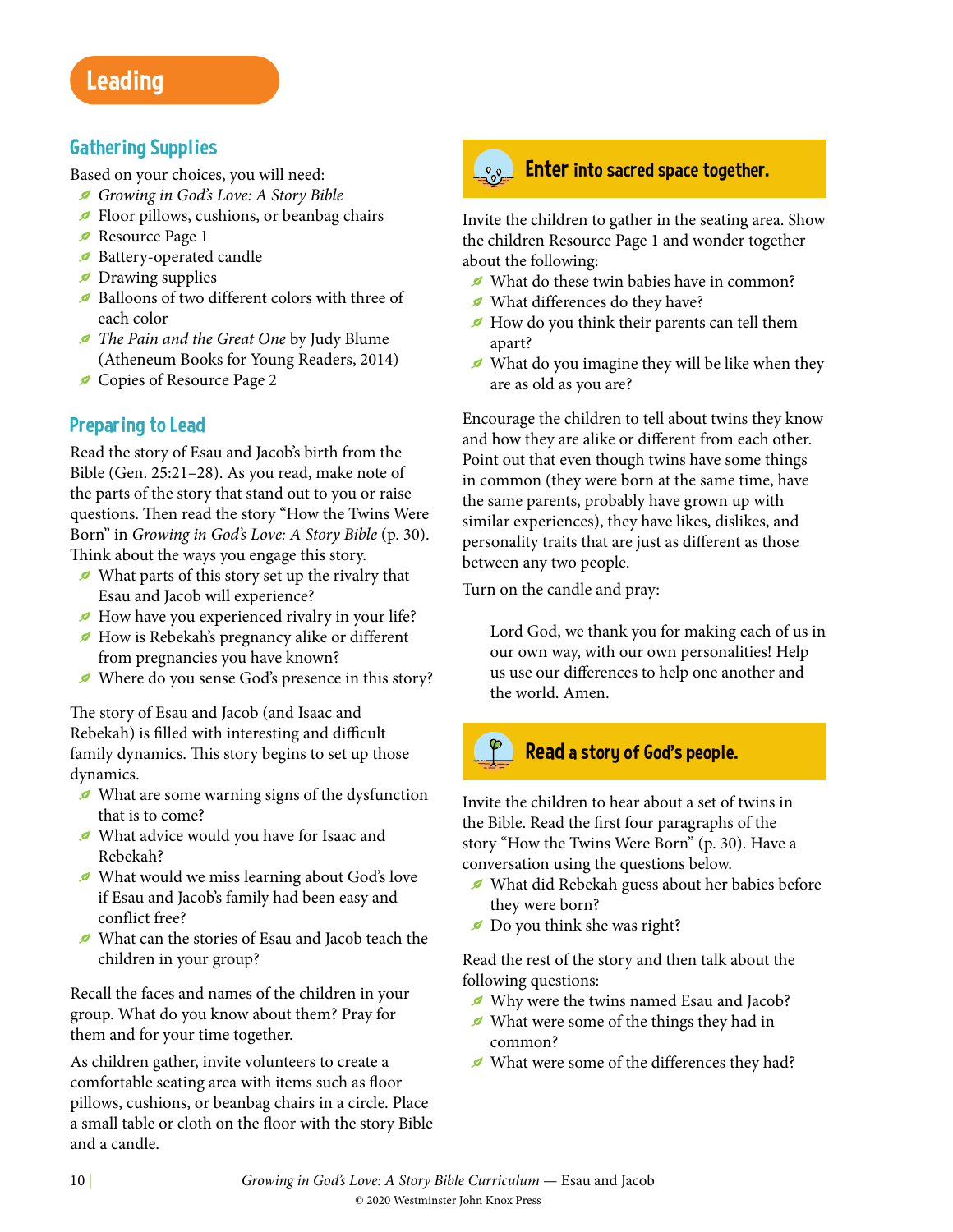# Leading

## Gathering Supplies

Based on your choices, you will need:

- g *Growing in God's Love: A Story Bible*
- Floor pillows, cushions, or beanbag chairs
- Resource Page 1
- Battery-operated candle
- $\blacktriangleright$  Drawing supplies
- $\blacktriangleright$  Balloons of two different colors with three of each color
- g *The Pain and the Great One* by Judy Blume (Atheneum Books for Young Readers, 2014)
- Gopies of Resource Page 2

# Preparing to Lead

Read the story of Esau and Jacob's birth from the Bible (Gen. 25:21–28). As you read, make note of the parts of the story that stand out to you or raise questions. Then read the story "How the Twins Were Born" in *Growing in God's Love: A Story Bible* (p. 30). Think about the ways you engage this story.

- $\blacktriangleright$  What parts of this story set up the rivalry that Esau and Jacob will experience?
- How have you experienced rivalry in your life?
- g How is Rebekah's pregnancy alike or different from pregnancies you have known?
- g Where do you sense God's presence in this story?

The story of Esau and Jacob (and Isaac and Rebekah) is filled with interesting and difficult family dynamics. This story begins to set up those dynamics.

- $\blacktriangleright$  What are some warning signs of the dysfunction that is to come?
- g What advice would you have for Isaac and Rebekah?
- g What would we miss learning about God's love if Esau and Jacob's family had been easy and conflict free?
- g What can the stories of Esau and Jacob teach the children in your group?

Recall the faces and names of the children in your group. What do you know about them? Pray for them and for your time together.

As children gather, invite volunteers to create a comfortable seating area with items such as floor pillows, cushions, or beanbag chairs in a circle. Place a small table or cloth on the floor with the story Bible and a candle.



# **Enter into sacred space together.**

Invite the children to gather in the seating area. Show the children Resource Page 1 and wonder together about the following:

- What do these twin babies have in common?
- g What differences do they have?
- $\blacktriangleright$  How do you think their parents can tell them apart?
- $\blacktriangleright$  What do you imagine they will be like when they are as old as you are?

Encourage the children to tell about twins they know and how they are alike or different from each other. Point out that even though twins have some things in common (they were born at the same time, have the same parents, probably have grown up with similar experiences), they have likes, dislikes, and personality traits that are just as different as those between any two people.

Turn on the candle and pray:

Lord God, we thank you for making each of us in our own way, with our own personalities! Help us use our differences to help one another and the world. Amen.



## Read a story of God's people.

Invite the children to hear about a set of twins in the Bible. Read the first four paragraphs of the story "How the Twins Were Born" (p. 30). Have a conversation using the questions below.

- g What did Rebekah guess about her babies before they were born?
- Do you think she was right?

Read the rest of the story and then talk about the following questions:

- g Why were the twins named Esau and Jacob?
- $\blacktriangleright$  What were some of the things they had in common?
- $\blacktriangleright$  What were some of the differences they had?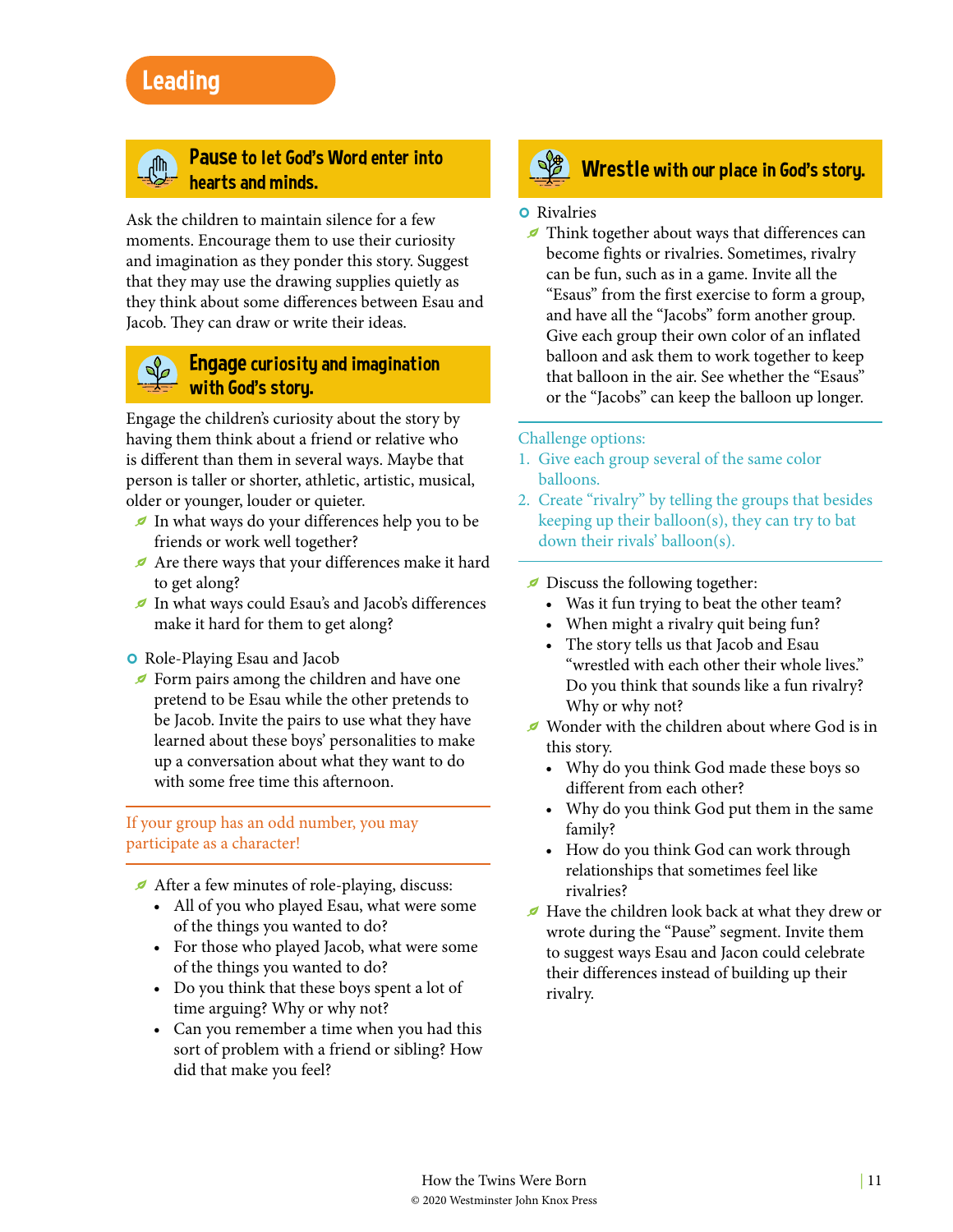# Leading



#### <sub>d</sub>M<sub>)</sub> Pause to let God's Word enter into hearts and minds.

Ask the children to maintain silence for a few moments. Encourage them to use their curiosity and imagination as they ponder this story. Suggest that they may use the drawing supplies quietly as they think about some differences between Esau and Jacob. They can draw or write their ideas.

#### $\mathbb{Q}_{\mathscr{O}}$  Engage curiosity and imagination with God's story.

Engage the children's curiosity about the story by having them think about a friend or relative who is different than them in several ways. Maybe that person is taller or shorter, athletic, artistic, musical, older or younger, louder or quieter.

- In what ways do your differences help you to be friends or work well together?
- Are there ways that your differences make it hard to get along?
- g In what ways could Esau's and Jacob's differences make it hard for them to get along?

#### **o** Role-Playing Esau and Jacob

 $\blacktriangleright$  Form pairs among the children and have one pretend to be Esau while the other pretends to be Jacob. Invite the pairs to use what they have learned about these boys' personalities to make up a conversation about what they want to do with some free time this afternoon.

#### If your group has an odd number, you may participate as a character!

- After a few minutes of role-playing, discuss:
	- All of you who played Esau, what were some of the things you wanted to do?
	- For those who played Jacob, what were some of the things you wanted to do?
	- Do you think that these boys spent a lot of time arguing? Why or why not?
	- Can you remember a time when you had this sort of problem with a friend or sibling? How did that make you feel?

# **Wrestle with our place in God's story.**

#### **o** Rivalries

 $\blacktriangleright$  Think together about ways that differences can become fights or rivalries. Sometimes, rivalry can be fun, such as in a game. Invite all the "Esaus" from the first exercise to form a group, and have all the "Jacobs" form another group. Give each group their own color of an inflated balloon and ask them to work together to keep that balloon in the air. See whether the "Esaus" or the "Jacobs" can keep the balloon up longer.

#### Challenge options:

- 1. Give each group several of the same color balloons.
- 2. Create "rivalry" by telling the groups that besides keeping up their balloon(s), they can try to bat down their rivals' balloon(s).
- $\blacktriangleright$  Discuss the following together:
	- Was it fun trying to beat the other team?
	- When might a rivalry quit being fun?
	- The story tells us that Jacob and Esau "wrestled with each other their whole lives." Do you think that sounds like a fun rivalry? Why or why not?
- $\blacktriangleright$  Wonder with the children about where God is in this story.
	- Why do you think God made these boys so different from each other?
	- Why do you think God put them in the same family?
	- How do you think God can work through relationships that sometimes feel like rivalries?
- $\blacktriangleright$  Have the children look back at what they drew or wrote during the "Pause" segment. Invite them to suggest ways Esau and Jacon could celebrate their differences instead of building up their rivalry.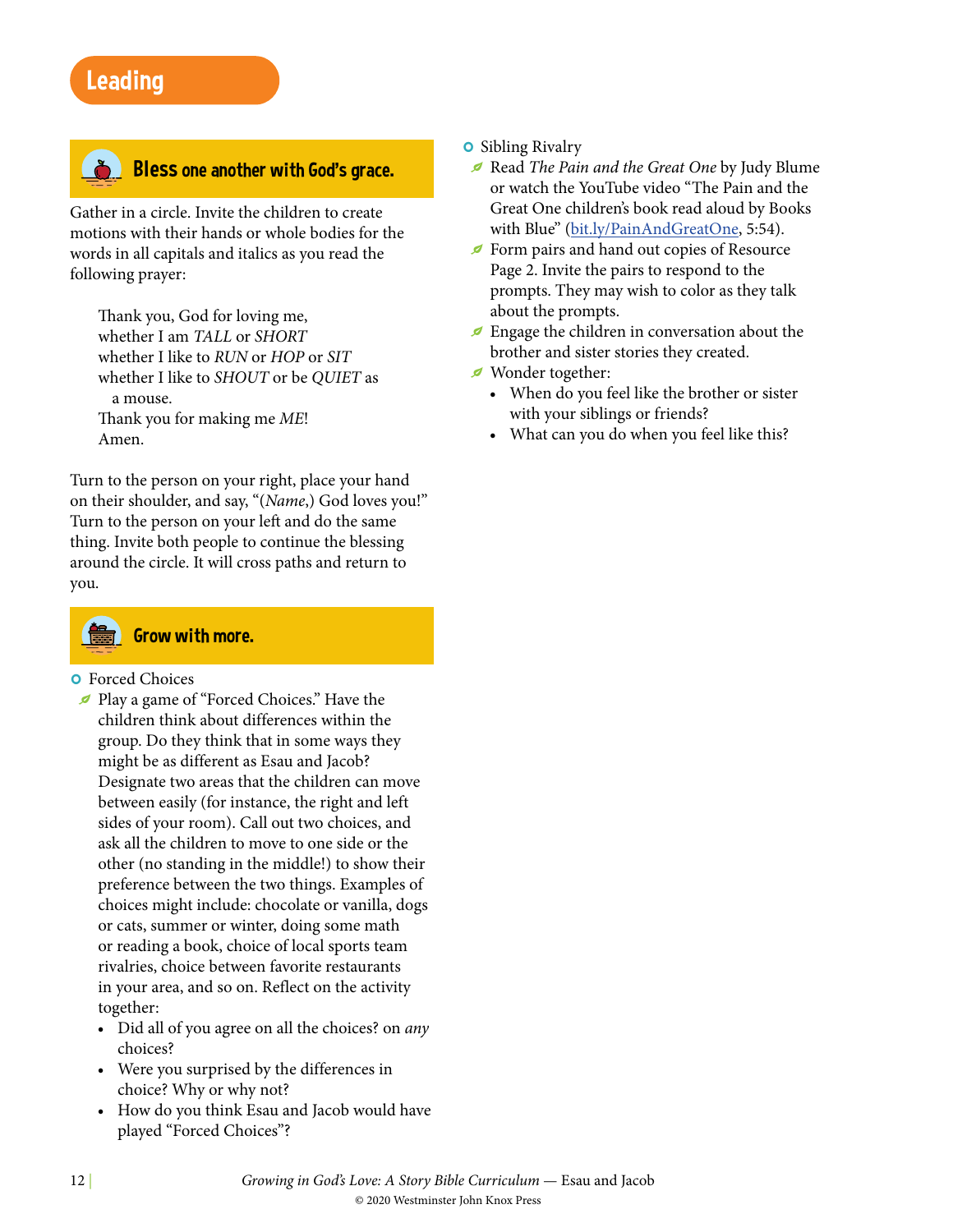# Leading



#### **Bless one another with God's grace.**

Gather in a circle. Invite the children to create motions with their hands or whole bodies for the words in all capitals and italics as you read the following prayer:

Thank you, God for loving me, whether I am *TALL* or *SHORT* whether I like to *RUN* or *HOP* or *SIT* whether I like to *SHOUT* or be *QUIET* as a mouse. Thank you for making me *ME*! Amen.

Turn to the person on your right, place your hand on their shoulder, and say, "(*Name*,) God loves you!" Turn to the person on your left and do the same thing. Invite both people to continue the blessing around the circle. It will cross paths and return to you.



## Grow with more.

#### **o** Forced Choices

- g Play a game of "Forced Choices." Have the children think about differences within the group. Do they think that in some ways they might be as different as Esau and Jacob? Designate two areas that the children can move between easily (for instance, the right and left sides of your room). Call out two choices, and ask all the children to move to one side or the other (no standing in the middle!) to show their preference between the two things. Examples of choices might include: chocolate or vanilla, dogs or cats, summer or winter, doing some math or reading a book, choice of local sports team rivalries, choice between favorite restaurants in your area, and so on. Reflect on the activity together:
	- Did all of you agree on all the choices? on *any* choices?
	- Were you surprised by the differences in choice? Why or why not?
	- How do you think Esau and Jacob would have played "Forced Choices"?

#### **o** Sibling Rivalry

- g Read *The Pain and the Great One* by Judy Blume or watch the YouTube video "The Pain and the Great One children's book read aloud by Books with Blue" ([bit.ly/PainAndGreatOne,](http://bit.ly/PainAndGreatOne) 5:54).
- Gebrar<br/>of Form pairs and hand out copies of Resource Page 2. Invite the pairs to respond to the prompts. They may wish to color as they talk about the prompts.
- $\blacktriangleright$  Engage the children in conversation about the brother and sister stories they created.
- Wonder together:
	- When do you feel like the brother or sister with your siblings or friends?
	- What can you do when you feel like this?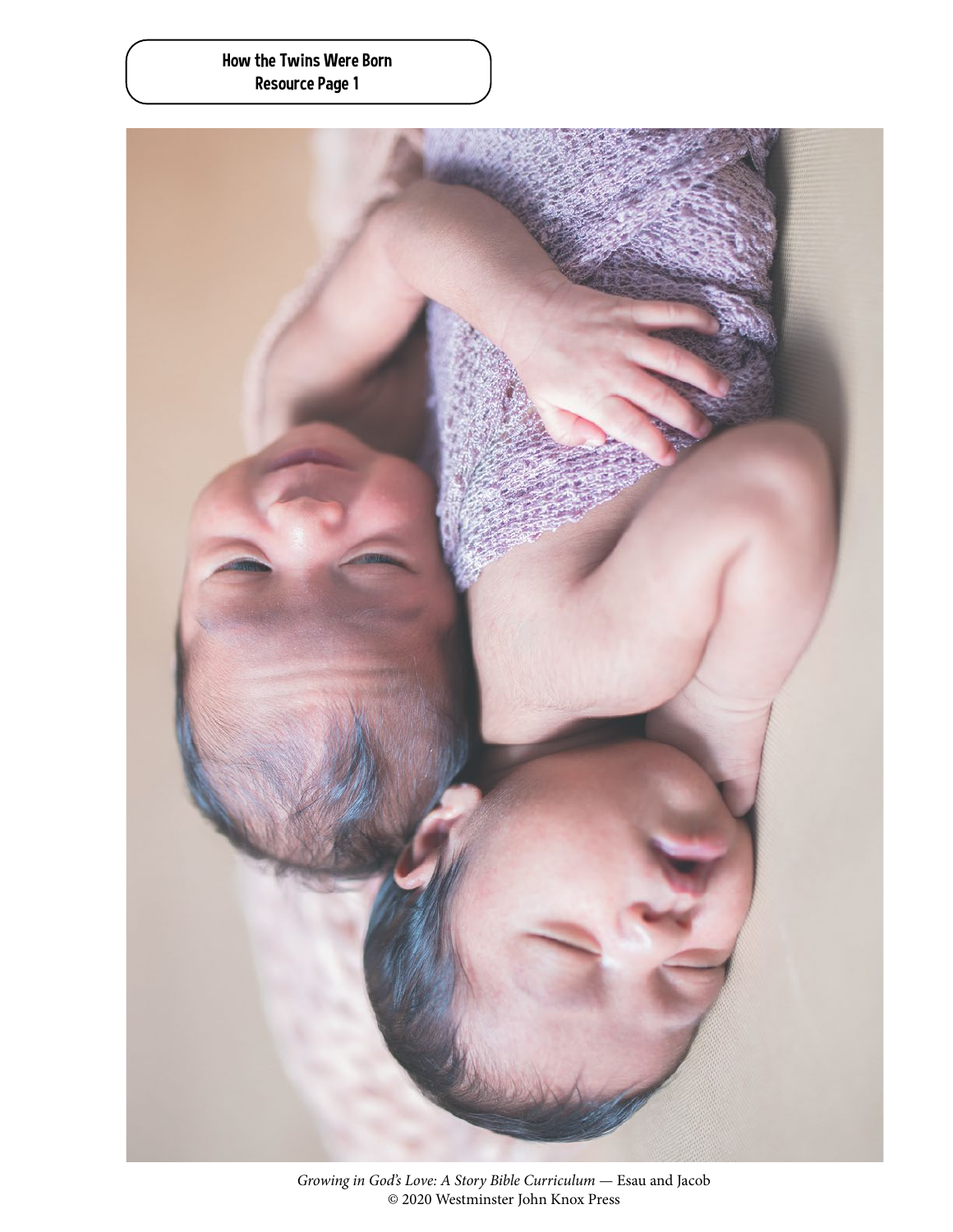#### How the Twins Were Born Resource Page 1